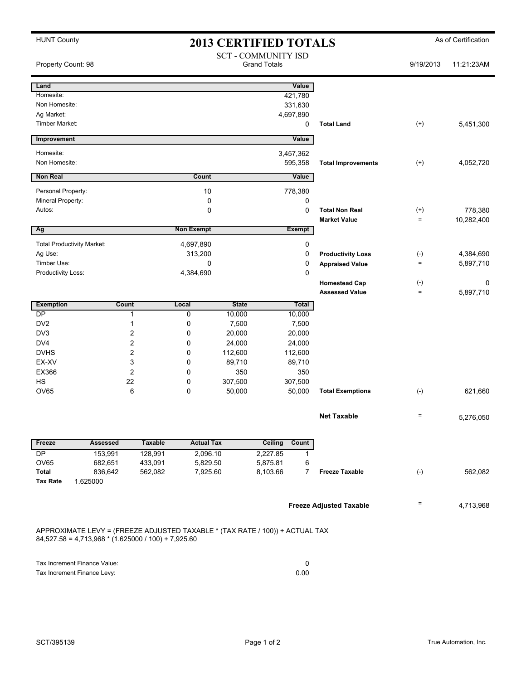| <b>HUNT County</b>                                                                                                                    | <b>2013 CERTIFIED TOTALS</b> |                |                      |                 |                                                   |                |                                | As of Certification |            |  |
|---------------------------------------------------------------------------------------------------------------------------------------|------------------------------|----------------|----------------------|-----------------|---------------------------------------------------|----------------|--------------------------------|---------------------|------------|--|
| Property Count: 98                                                                                                                    |                              |                |                      |                 | <b>SCT - COMMUNITY ISD</b><br><b>Grand Totals</b> |                |                                | 9/19/2013           | 11:21:23AM |  |
| Land                                                                                                                                  |                              |                |                      |                 | Value                                             |                |                                |                     |            |  |
| Homesite:                                                                                                                             |                              |                |                      |                 | 421,780                                           |                |                                |                     |            |  |
| Non Homesite:                                                                                                                         |                              |                |                      |                 | 331,630                                           |                |                                |                     |            |  |
| Ag Market:                                                                                                                            |                              |                |                      |                 | 4,697,890                                         |                |                                |                     |            |  |
| <b>Timber Market:</b>                                                                                                                 |                              |                |                      |                 |                                                   | 0              | <b>Total Land</b>              | $^{(+)}$            | 5,451,300  |  |
| Improvement                                                                                                                           |                              |                |                      |                 | Value                                             |                |                                |                     |            |  |
| Homesite:                                                                                                                             |                              |                |                      |                 | 3,457,362                                         |                |                                |                     |            |  |
| Non Homesite:                                                                                                                         |                              |                |                      |                 | 595,358                                           |                | <b>Total Improvements</b>      | $^{(+)}$            | 4,052,720  |  |
| <b>Non Real</b>                                                                                                                       |                              |                | Count                |                 | Value                                             |                |                                |                     |            |  |
| Personal Property:                                                                                                                    |                              |                | 10                   |                 | 778,380                                           |                |                                |                     |            |  |
| Mineral Property:                                                                                                                     |                              |                | 0                    |                 |                                                   | 0              |                                |                     |            |  |
| Autos:                                                                                                                                |                              |                | $\mathbf 0$          |                 |                                                   | $\mathbf 0$    | <b>Total Non Real</b>          | $^{(+)}$            | 778,380    |  |
| Ag                                                                                                                                    |                              |                | <b>Non Exempt</b>    |                 | <b>Exempt</b>                                     |                | <b>Market Value</b>            | $=$                 | 10,282,400 |  |
|                                                                                                                                       |                              |                |                      |                 |                                                   |                |                                |                     |            |  |
| <b>Total Productivity Market:</b><br>Ag Use:                                                                                          |                              |                | 4,697,890<br>313,200 |                 |                                                   | 0<br>0         | <b>Productivity Loss</b>       | $(-)$               | 4,384,690  |  |
| Timber Use:                                                                                                                           |                              |                | 0                    |                 |                                                   | 0              | <b>Appraised Value</b>         | $=$                 | 5,897,710  |  |
| Productivity Loss:                                                                                                                    |                              |                | 4,384,690            |                 |                                                   | $\mathbf 0$    |                                |                     |            |  |
|                                                                                                                                       |                              |                |                      |                 |                                                   |                | <b>Homestead Cap</b>           | $(\text{-})$        | 0          |  |
|                                                                                                                                       |                              |                |                      |                 |                                                   |                | <b>Assessed Value</b>          | $=$                 | 5,897,710  |  |
| <b>Exemption</b>                                                                                                                      | Count                        |                | Local                | <b>State</b>    | <b>Total</b>                                      |                |                                |                     |            |  |
| DP                                                                                                                                    | $\mathbf{1}$                 |                | $\mathbf 0$          | 10,000          | 10,000                                            |                |                                |                     |            |  |
| DV <sub>2</sub><br>DV <sub>3</sub>                                                                                                    | 1<br>$\overline{c}$          |                | 0<br>0               | 7,500<br>20,000 | 7,500<br>20,000                                   |                |                                |                     |            |  |
| DV <sub>4</sub>                                                                                                                       | $\overline{c}$               |                | 0                    | 24,000          | 24,000                                            |                |                                |                     |            |  |
| <b>DVHS</b>                                                                                                                           | $\overline{2}$               |                | 0                    | 112,600         | 112,600                                           |                |                                |                     |            |  |
| EX-XV                                                                                                                                 | 3                            |                | 0                    | 89,710          | 89,710                                            |                |                                |                     |            |  |
| EX366                                                                                                                                 | $\overline{2}$               |                | 0                    | 350             | 350                                               |                |                                |                     |            |  |
| <b>HS</b>                                                                                                                             | 22                           |                | 0                    | 307,500         |                                                   | 307,500        |                                |                     |            |  |
| <b>OV65</b>                                                                                                                           | 6                            |                | 0                    | 50,000          | 50,000                                            |                | <b>Total Exemptions</b>        | $(-)$               | 621,660    |  |
|                                                                                                                                       |                              |                |                      |                 |                                                   |                | <b>Net Taxable</b>             | $\qquad \qquad =$   | 5,276,050  |  |
| Freeze                                                                                                                                | <b>Assessed</b>              | <b>Taxable</b> | <b>Actual Tax</b>    |                 | Ceiling<br>Count                                  |                |                                |                     |            |  |
| DP                                                                                                                                    | 153,991                      | 128,991        | 2,096.10             |                 | 2,227.85                                          | 1              |                                |                     |            |  |
| OV65                                                                                                                                  | 682,651                      | 433,091        | 5,829.50             |                 | 5,875.81                                          | 6              |                                |                     |            |  |
| Total<br><b>Tax Rate</b><br>1.625000                                                                                                  | 836,642                      | 562,082        | 7,925.60             |                 | 8,103.66                                          | $\overline{7}$ | <b>Freeze Taxable</b>          | $(-)$               | 562,082    |  |
|                                                                                                                                       |                              |                |                      |                 |                                                   |                | <b>Freeze Adjusted Taxable</b> | Ξ                   | 4,713,968  |  |
| APPROXIMATE LEVY = (FREEZE ADJUSTED TAXABLE * (TAX RATE / 100)) + ACTUAL TAX<br>$84,527.58 = 4,713,968 * (1.625000 / 100) + 7,925.60$ |                              |                |                      |                 |                                                   |                |                                |                     |            |  |
|                                                                                                                                       |                              |                |                      |                 |                                                   |                |                                |                     |            |  |